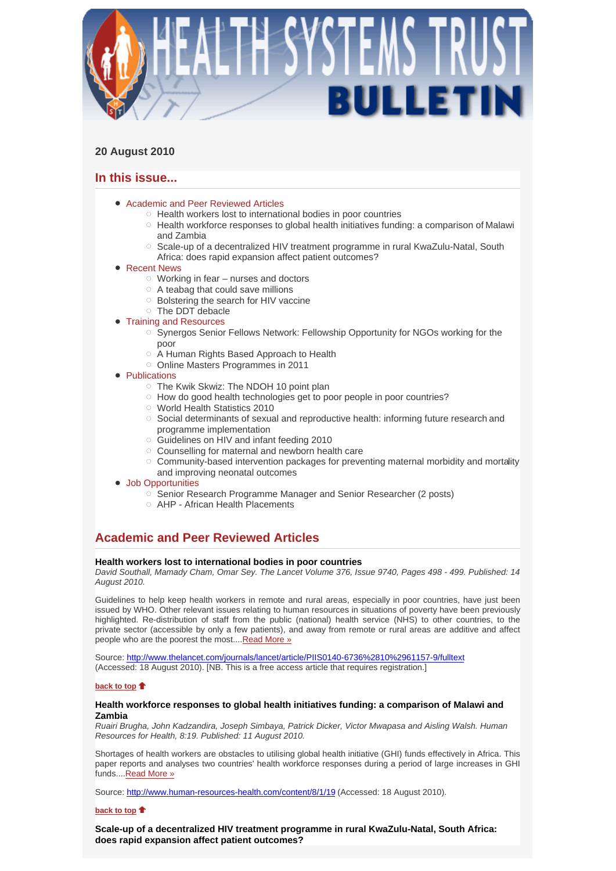

# **20 August 2010**

# **In this issue...**

- Academic and Peer Reviewed Articles
	- o Health workers lost to international bodies in poor countries
	- $\circ$  Health workforce responses to global health initiatives funding: a comparison of Malawi and Zambia
	- $\circ$  Scale-up of a decentralized HIV treatment programme in rural KwaZulu-Natal, South Africa: does rapid expansion affect patient outcomes?

# ● Recent News

- $\circ$  Working in fear nurses and doctors
- $\circ$  A teabag that could save millions
- o Bolstering the search for HIV vaccine
- The DDT debacle
- Training and Resources Synergos Senior Fellows Network: Fellowship Opportunity for NGOs working for the
	- poor
	- A Human Rights Based Approach to Health
	- Online Masters Programmes in 2011
- **Publications** 
	- The Kwik Skwiz: The NDOH 10 point plan
	- $\circ$  How do good health technologies get to poor people in poor countries?
	- World Health Statistics 2010
	- $\circ$  Social determinants of sexual and reproductive health: informing future research and programme implementation
	- Guidelines on HIV and infant feeding 2010
	- Counselling for maternal and newborn health care
	- $\circ$  Community-based intervention packages for preventing maternal morbidity and mortality and improving neonatal outcomes

### • Job Opportunities

- Senior Research Programme Manager and Senior Researcher (2 posts)
- AHP African Health Placements

# **Academic and Peer Reviewed Articles**

# **Health workers lost to international bodies in poor countries**

*David Southall, Mamady Cham, Omar Sey. The Lancet Volume 376, Issue 9740, Pages 498 - 499. Published: 14 August 2010.* 

Guidelines to help keep health workers in remote and rural areas, especially in poor countries, have just been issued by WHO. Other relevant issues relating to human resources in situations of poverty have been previously highlighted. Re-distribution of staff from the public (national) health service (NHS) to other countries, to the private sector (accessible by only a few patients), and away from remote or rural areas are additive and affect people who are the poorest the most....Read More »

Source: http://www.thelancet.com/journals/lancet/article/PIIS0140-6736%2810%2961157-9/fulltext (Accessed: 18 August 2010). [NB. This is a free access article that requires registration.]

# **back to top**

# **Health workforce responses to global health initiatives funding: a comparison of Malawi and Zambia**

*Ruairi Brugha, John Kadzandira, Joseph Simbaya, Patrick Dicker, Victor Mwapasa and Aisling Walsh. Human Resources for Health, 8:19. Published: 11 August 2010.* 

Shortages of health workers are obstacles to utilising global health initiative (GHI) funds effectively in Africa. This paper reports and analyses two countries' health workforce responses during a period of large increases in GHI funds....Read More »

Source: http://www.human-resources-health.com/content/8/1/19 (Accessed: 18 August 2010).

# **back to top**

**Scale-up of a decentralized HIV treatment programme in rural KwaZulu-Natal, South Africa: does rapid expansion affect patient outcomes?**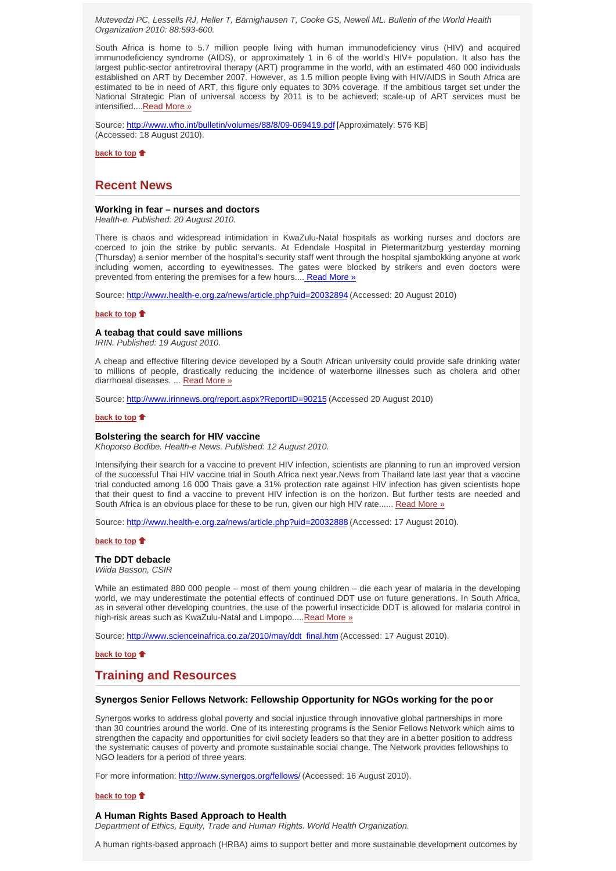*Mutevedzi PC, Lessells RJ, Heller T, Bärnighausen T, Cooke GS, Newell ML. Bulletin of the World Health Organization 2010: 88:593-600.* 

South Africa is home to 5.7 million people living with human immunodeficiency virus (HIV) and acquired immunodeficiency syndrome (AIDS), or approximately 1 in 6 of the world's HIV+ population. It also has the largest public-sector antiretroviral therapy (ART) programme in the world, with an estimated 460 000 individuals established on ART by December 2007. However, as 1.5 million people living with HIV/AIDS in South Africa are estimated to be in need of ART, this figure only equates to 30% coverage. If the ambitious target set under the National Strategic Plan of universal access by 2011 is to be achieved; scale-up of ART services must be intensified....Read More »

Source: http://www.who.int/bulletin/volumes/88/8/09-069419.pdf [Approximately: 576 KB] (Accessed: 18 August 2010).

**back to top**

# **Recent News**

# **Working in fear – nurses and doctors**

*Health-e. Published: 20 August 2010.* 

There is chaos and widespread intimidation in KwaZulu-Natal hospitals as working nurses and doctors are coerced to join the strike by public servants. At Edendale Hospital in Pietermaritzburg yesterday morning (Thursday) a senior member of the hospital's security staff went through the hospital sjambokking anyone at work including women, according to eyewitnesses. The gates were blocked by strikers and even doctors were prevented from entering the premises for a few hours.... Read More »

Source: http://www.health-e.org.za/news/article.php?uid=20032894 (Accessed: 20 August 2010)

#### **back to top**

#### **A teabag that could save millions**

*IRIN. Published: 19 August 2010.*

A cheap and effective filtering device developed by a South African university could provide safe drinking water to millions of people, drastically reducing the incidence of waterborne illnesses such as cholera and other diarrhoeal diseases. ... Read More »

Source: http://www.irinnews.org/report.aspx?ReportID=90215 (Accessed 20 August 2010)

#### **back to top**

#### **Bolstering the search for HIV vaccine**

*Khopotso Bodibe. Health-e News. Published: 12 August 2010.*

Intensifying their search for a vaccine to prevent HIV infection, scientists are planning to run an improved version of the successful Thai HIV vaccine trial in South Africa next year.News from Thailand late last year that a vaccine trial conducted among 16 000 Thais gave a 31% protection rate against HIV infection has given scientists hope that their quest to find a vaccine to prevent HIV infection is on the horizon. But further tests are needed and South Africa is an obvious place for these to be run, given our high HIV rate...... Read More »

Source: http://www.health-e.org.za/news/article.php?uid=20032888 (Accessed: 17 August 2010).

#### **back to top**

**The DDT debacle**

*Wiida Basson, CSIR*

While an estimated 880 000 people – most of them young children – die each year of malaria in the developing world, we may underestimate the potential effects of continued DDT use on future generations. In South Africa, as in several other developing countries, the use of the powerful insecticide DDT is allowed for malaria control in high-risk areas such as KwaZulu-Natal and Limpopo.....Read More »

Source: http://www.scienceinafrica.co.za/2010/may/ddt\_final.htm (Accessed: 17 August 2010).

**back to top**

# **Training and Resources**

### **Synergos Senior Fellows Network: Fellowship Opportunity for NGOs working for the po or**

Synergos works to address global poverty and social injustice through innovative global partnerships in more than 30 countries around the world. One of its interesting programs is the Senior Fellows Network which aims to strengthen the capacity and opportunities for civil society leaders so that they are in a better position to address the systematic causes of poverty and promote sustainable social change. The Network provides fellowships to NGO leaders for a period of three years.

For more information: http://www.synergos.org/fellows/ (Accessed: 16 August 2010).

#### **back to top**

#### **A Human Rights Based Approach to Health**

*Department of Ethics, Equity, Trade and Human Rights. World Health Organization.*

A human rights-based approach (HRBA) aims to support better and more sustainable development outcomes by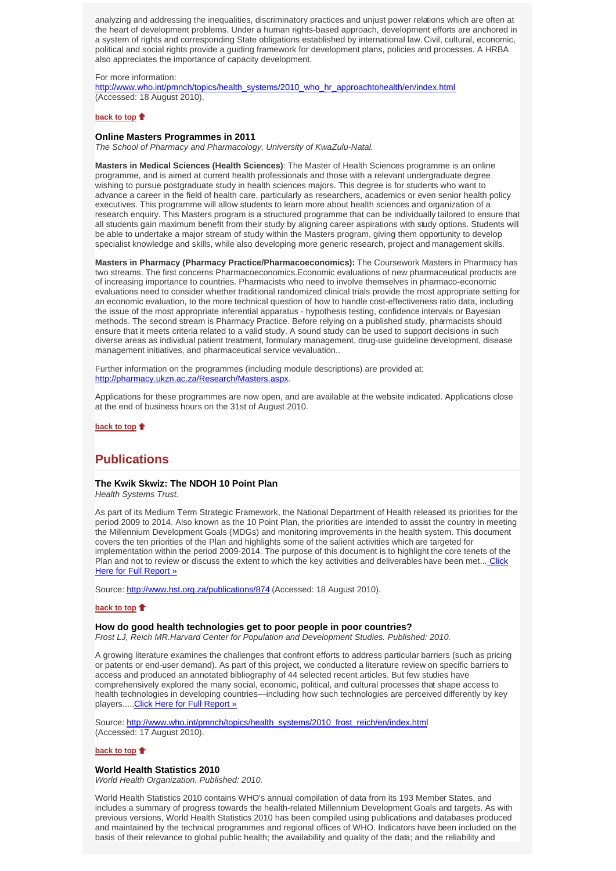analyzing and addressing the inequalities, discriminatory practices and unjust power relations which are often at the heart of development problems. Under a human rights-based approach, development efforts are anchored in a system of rights and corresponding State obligations established by international law. Civil, cultural, economic, political and social rights provide a guiding framework for development plans, policies and processes. A HRBA also appreciates the importance of capacity development.

For more information:

http://www.who.int/pmnch/topics/health\_systems/2010\_who\_hr\_approachtohealth/en/index.html (Accessed: 18 August 2010).

#### **back to top**

### **Online Masters Programmes in 2011**

*The School of Pharmacy and Pharmacology, University of KwaZulu-Natal.*

**Masters in Medical Sciences (Health Sciences)**: The Master of Health Sciences programme is an online programme, and is aimed at current health professionals and those with a relevant undergraduate degree wishing to pursue postgraduate study in health sciences majors. This degree is for students who want to advance a career in the field of health care, particularly as researchers, academics or even senior health policy executives. This programme will allow students to learn more about health sciences and organization of a research enquiry. This Masters program is a structured programme that can be individually tailored to ensure that all students gain maximum benefit from their study by aligning career aspirations with study options. Students will be able to undertake a major stream of study within the Masters program, giving them opportunity to develop specialist knowledge and skills, while also developing more generic research, project and management skills.

**Masters in Pharmacy (Pharmacy Practice/Pharmacoeconomics):** The Coursework Masters in Pharmacy has two streams. The first concerns Pharmacoeconomics.Economic evaluations of new pharmaceutical products are of increasing importance to countries. Pharmacists who need to involve themselves in pharmaco-economic evaluations need to consider whether traditional randomized clinical trials provide the most appropriate setting for an economic evaluation, to the more technical question of how to handle cost-effectiveness ratio data, including the issue of the most appropriate inferential apparatus - hypothesis testing, confidence intervals or Bayesian methods. The second stream is Pharmacy Practice. Before relying on a published study, pharmacists should ensure that it meets criteria related to a valid study. A sound study can be used to support decisions in such diverse areas as individual patient treatment, formulary management, drug-use guideline development, disease management initiatives, and pharmaceutical service vevaluation..

Further information on the programmes (including module descriptions) are provided at: http://pharmacy.ukzn.ac.za/Research/Masters.aspx.

Applications for these programmes are now open, and are available at the website indicated. Applications close at the end of business hours on the 31st of August 2010.

**back to top**

# **Publications**

### **The Kwik Skwiz: The NDOH 10 Point Plan**

*Health Systems Trust.*

As part of its Medium Term Strategic Framework, the National Department of Health released its priorities for the period 2009 to 2014. Also known as the 10 Point Plan, the priorities are intended to assist the country in meeting the Millennium Development Goals (MDGs) and monitoring improvements in the health system. This document covers the ten priorities of the Plan and highlights some of the salient activities which are targeted for implementation within the period 2009-2014. The purpose of this document is to highlight the core tenets of the Plan and not to review or discuss the extent to which the key activities and deliverables have been met... Click Here for Full Report »

Source: http://www.hst.org.za/publications/874 (Accessed: 18 August 2010).

### **back to top**

### **How do good health technologies get to poor people in poor countries?**

*Frost LJ, Reich MR.Harvard Center for Population and Development Studies. Published: 2010.*

A growing literature examines the challenges that confront efforts to address particular barriers (such as pricing or patents or end-user demand). As part of this project, we conducted a literature review on specific barriers to access and produced an annotated bibliography of 44 selected recent articles. But few studies have comprehensively explored the many social, economic, political, and cultural processes that shape access to health technologies in developing countries—including how such technologies are perceived differently by key players.....Click Here for Full Report »

Source: http://www.who.int/pmnch/topics/health\_systems/2010\_frost\_reich/en/index.html (Accessed: 17 August 2010).

#### **back to top**

#### **World Health Statistics 2010**

*World Health Organization. Published: 2010.*

World Health Statistics 2010 contains WHO's annual compilation of data from its 193 Member States, and includes a summary of progress towards the health-related Millennium Development Goals and targets. As with previous versions, World Health Statistics 2010 has been compiled using publications and databases produced and maintained by the technical programmes and regional offices of WHO. Indicators have been included on the basis of their relevance to global public health; the availability and quality of the data; and the reliability and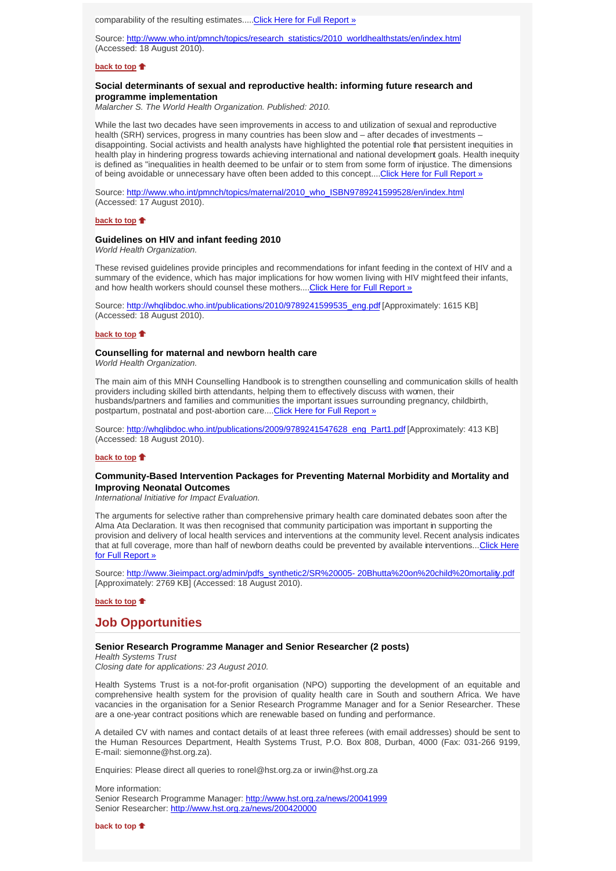comparability of the resulting estimates.....Click Here for Full Report »

Source: http://www.who.int/pmnch/topics/research\_statistics/2010\_worldhealthstats/en/index.html (Accessed: 18 August 2010).

### **back to top**

# **Social determinants of sexual and reproductive health: informing future research and programme implementation**

*Malarcher S. The World Health Organization. Published: 2010.*

While the last two decades have seen improvements in access to and utilization of sexual and reproductive health (SRH) services, progress in many countries has been slow and – after decades of investments – disappointing. Social activists and health analysts have highlighted the potential role that persistent inequities in health play in hindering progress towards achieving international and national development goals. Health inequity is defined as "inequalities in health deemed to be unfair or to stem from some form of injustice. The dimensions of being avoidable or unnecessary have often been added to this concept....Click Here for Full Report »

Source: http://www.who.int/pmnch/topics/maternal/2010\_who\_ISBN9789241599528/en/index.html (Accessed: 17 August 2010).

# **back to top**

#### **Guidelines on HIV and infant feeding 2010**

*World Health Organization.*

These revised guidelines provide principles and recommendations for infant feeding in the context of HIV and a summary of the evidence, which has major implications for how women living with HIV might feed their infants, and how health workers should counsel these mothers.... Click Here for Full Report »

Source: http://whqlibdoc.who.int/publications/2010/9789241599535\_eng.pdf [Approximately: 1615 KB] (Accessed: 18 August 2010).

### **back to top**

#### **Counselling for maternal and newborn health care**

*World Health Organization.*

The main aim of this MNH Counselling Handbook is to strengthen counselling and communication skills of health providers including skilled birth attendants, helping them to effectively discuss with women, their husbands/partners and families and communities the important issues surrounding pregnancy, childbirth, postpartum, postnatal and post-abortion care.... Click Here for Full Report »

Source: http://whqlibdoc.who.int/publications/2009/9789241547628\_eng\_Part1.pdf [Approximately: 413 KB] (Accessed: 18 August 2010).

### **back to top**

# **Community-Based Intervention Packages for Preventing Maternal Morbidity and Mortality and Improving Neonatal Outcomes**

*International Initiative for Impact Evaluation.*

The arguments for selective rather than comprehensive primary health care dominated debates soon after the Alma Ata Declaration. It was then recognised that community participation was important in supporting the provision and delivery of local health services and interventions at the community level. Recent analysis indicates that at full coverage, more than half of newborn deaths could be prevented by available interventions... Click Here for Full Report »

Source: http://www.3ieimpact.org/admin/pdfs\_synthetic2/SR%20005- 20Bhutta%20on%20child%20mortality.pdf [Approximately: 2769 KB] (Accessed: 18 August 2010).

# **back to top**

# **Job Opportunities**

#### **Senior Research Programme Manager and Senior Researcher (2 posts)**

*Health Systems Trust Closing date for applications: 23 August 2010.*

Health Systems Trust is a not-for-profit organisation (NPO) supporting the development of an equitable and comprehensive health system for the provision of quality health care in South and southern Africa. We have vacancies in the organisation for a Senior Research Programme Manager and for a Senior Researcher. These are a one-year contract positions which are renewable based on funding and performance.

A detailed CV with names and contact details of at least three referees (with email addresses) should be sent to the Human Resources Department, Health Systems Trust, P.O. Box 808, Durban, 4000 (Fax: 031-266 9199, E-mail: siemonne@hst.org.za).

Enquiries: Please direct all queries to ronel@hst.org.za or irwin@hst.org.za

More information: Senior Research Programme Manager: http://www.hst.org.za/news/20041999 Senior Researcher: http://www.hst.org.za/news/200420000

**back to top**